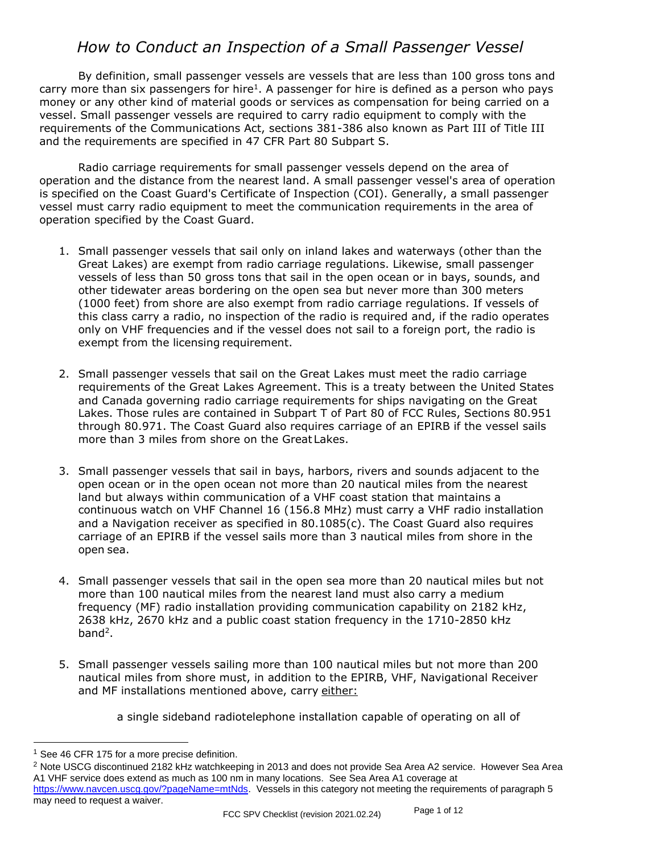# *How to Conduct an Inspection of a Small Passenger Vessel*

By definition, small passenger vessels are vessels that are less than 100 gross tons and carry more than six passengers for hire<sup>1</sup>. A passenger for hire is defined as a person who pays money or any other kind of material goods or services as compensation for being carried on a vessel. Small passenger vessels are required to carry radio equipment to comply with the requirements of the Communications Act, sections 381-386 also known as Part III of Title III and the requirements are specified in 47 CFR Part 80 Subpart S.

Radio carriage requirements for small passenger vessels depend on the area of operation and the distance from the nearest land. A small passenger vessel's area of operation is specified on the Coast Guard's Certificate of Inspection (COI). Generally, a small passenger vessel must carry radio equipment to meet the communication requirements in the area of operation specified by the Coast Guard.

- 1. Small passenger vessels that sail only on inland lakes and waterways (other than the Great Lakes) are exempt from radio carriage regulations. Likewise, small passenger vessels of less than 50 gross tons that sail in the open ocean or in bays, sounds, and other tidewater areas bordering on the open sea but never more than 300 meters (1000 feet) from shore are also exempt from radio carriage regulations. If vessels of this class carry a radio, no inspection of the radio is required and, if the radio operates only on VHF frequencies and if the vessel does not sail to a foreign port, the radio is exempt from the licensing requirement.
- 2. Small passenger vessels that sail on the Great Lakes must meet the radio carriage requirements of the Great Lakes Agreement. This is a treaty between the United States and Canada governing radio carriage requirements for ships navigating on the Great Lakes. Those rules are contained in Subpart T of Part 80 of FCC Rules, Sections 80.951 through 80.971. The Coast Guard also requires carriage of an EPIRB if the vessel sails more than 3 miles from shore on the Great Lakes.
- 3. Small passenger vessels that sail in bays, harbors, rivers and sounds adjacent to the open ocean or in the open ocean not more than 20 nautical miles from the nearest land but always within communication of a VHF coast station that maintains a continuous watch on VHF Channel 16 (156.8 MHz) must carry a VHF radio installation and a Navigation receiver as specified in 80.1085(c). The Coast Guard also requires carriage of an EPIRB if the vessel sails more than 3 nautical miles from shore in the open sea.
- 4. Small passenger vessels that sail in the open sea more than 20 nautical miles but not more than 100 nautical miles from the nearest land must also carry a medium frequency (MF) radio installation providing communication capability on 2182 kHz, 2638 kHz, 2670 kHz and a public coast station frequency in the 1710-2850 kHz band<sup>2</sup>.
- 5. Small passenger vessels sailing more than 100 nautical miles but not more than 200 nautical miles from shore must, in addition to the EPIRB, VHF, Navigational Receiver and MF installations mentioned above, carry either:

a single sideband radiotelephone installation capable of operating on all of

<sup>&</sup>lt;sup>1</sup> See 46 CFR 175 for a more precise definition.

<sup>&</sup>lt;sup>2</sup> Note USCG discontinued 2182 kHz watchkeeping in 2013 and does not provide Sea Area A2 service. However Sea Area A1 VHF service does extend as much as 100 nm in many locations. See Sea Area A1 coverage at [https://www.navcen.uscg.gov/?pageName=mtNds.](https://www.navcen.uscg.gov/?pageName=mtNds) Vessels in this category not meeting the requirements of paragraph 5 may need to request a waiver.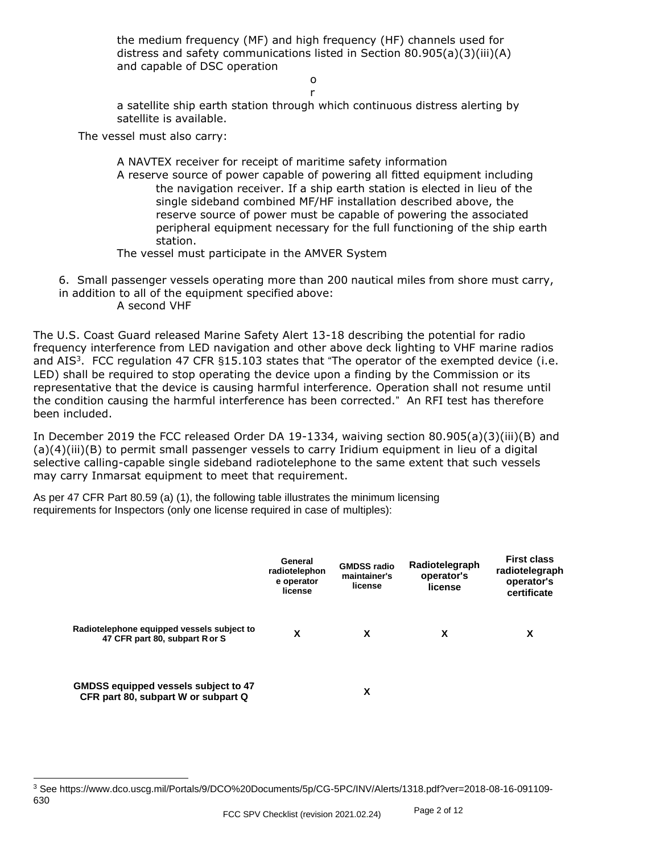the medium frequency (MF) and high frequency (HF) channels used for distress and safety communications listed in Section 80.905(a)(3)(iii)(A) and capable of DSC operation

> o r

a satellite ship earth station through which continuous distress alerting by satellite is available.

The vessel must also carry:

A NAVTEX receiver for receipt of maritime safety information

A reserve source of power capable of powering all fitted equipment including the navigation receiver. If a ship earth station is elected in lieu of the single sideband combined MF/HF installation described above, the reserve source of power must be capable of powering the associated peripheral equipment necessary for the full functioning of the ship earth station.

The vessel must participate in the AMVER System

6. Small passenger vessels operating more than 200 nautical miles from shore must carry, in addition to all of the equipment specified above: A second VHF

The U.S. Coast Guard released Marine Safety Alert 13-18 describing the potential for radio frequency interference from LED navigation and other above deck lighting to VHF marine radios and AIS<sup>3</sup>. FCC regulation 47 CFR §15.103 states that "The operator of the exempted device (i.e. LED) shall be required to stop operating the device upon a finding by the Commission or its representative that the device is causing harmful interference. Operation shall not resume until the condition causing the harmful interference has been corrected." An RFI test has therefore been included.

In December 2019 the FCC released Order DA 19-1334, waiving section 80.905(a)(3)(iii)(B) and (a)(4)(iii)(B) to permit small passenger vessels to carry Iridium equipment in lieu of a digital selective calling-capable single sideband radiotelephone to the same extent that such vessels may carry Inmarsat equipment to meet that requirement.

As per 47 CFR Part 80.59 (a) (1), the following table illustrates the minimum licensing requirements for Inspectors (only one license required in case of multiples):

|                                                                                    | General<br>radiotelephon<br>e operator<br>license | <b>GMDSS radio</b><br>maintainer's<br>license | Radiotelegraph<br>operator's<br>license | <b>First class</b><br>radiotelegraph<br>operator's<br>certificate |
|------------------------------------------------------------------------------------|---------------------------------------------------|-----------------------------------------------|-----------------------------------------|-------------------------------------------------------------------|
| Radiotelephone equipped vessels subject to<br>47 CFR part 80, subpart R or S       | X                                                 | х                                             | X                                       | x                                                                 |
| <b>GMDSS equipped vessels subject to 47</b><br>CFR part 80, subpart W or subpart Q |                                                   | x                                             |                                         |                                                                   |

<sup>3</sup> See https://www.dco.uscg.mil/Portals/9/DCO%20Documents/5p/CG-5PC/INV/Alerts/1318.pdf?ver=2018-08-16-091109- 630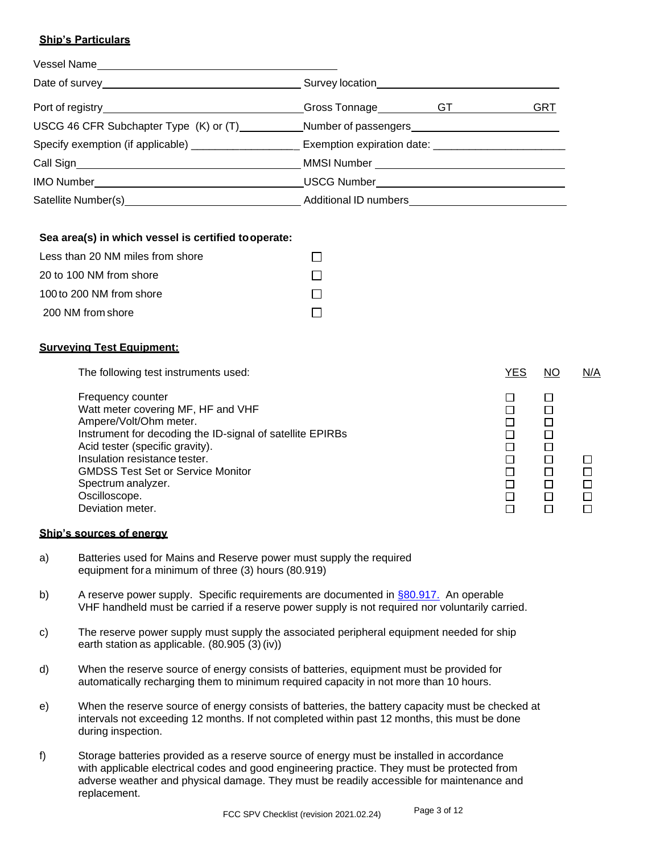### **Ship's Particulars**

|                                | Date of survey example and the set of survey location and the set of survey location example and the set of survey location example and the set of survey location example and the set of survey location example and the set  |
|--------------------------------|--------------------------------------------------------------------------------------------------------------------------------------------------------------------------------------------------------------------------------|
|                                | GRT                                                                                                                                                                                                                            |
|                                |                                                                                                                                                                                                                                |
|                                |                                                                                                                                                                                                                                |
|                                | MMSI Number ____________________________                                                                                                                                                                                       |
| <b>IMO Number Example 2008</b> | USCG Number National Accounts and Accounts and Accounts and Accounts and Accounts and Accounts and Accounts and Accounts and Accounts and Accounts and Accounts and Accounts and Accounts and Accounts and Accounts and Accoun |
| Satellite Number(s) _____      | <b>Additional ID numbers</b>                                                                                                                                                                                                   |

#### **Sea area(s) in which vessel is certified tooperate:**

| Less than 20 NM miles from shore |  |
|----------------------------------|--|
| 20 to 100 NM from shore          |  |
| 100 to 200 NM from shore         |  |
| 200 NM from shore                |  |
|                                  |  |

#### **Surveying Test Equipment:**

| The following test instruments used:                                                                                                                                                                                                                           | YES | ΝO | N/A |
|----------------------------------------------------------------------------------------------------------------------------------------------------------------------------------------------------------------------------------------------------------------|-----|----|-----|
| Frequency counter<br>Watt meter covering MF, HF and VHF<br>Ampere/Volt/Ohm meter.<br>Instrument for decoding the ID-signal of satellite EPIRBs<br>Acid tester (specific gravity).<br>Insulation resistance tester.<br><b>GMDSS Test Set or Service Monitor</b> |     |    |     |
| Spectrum analyzer.<br>Oscilloscope.                                                                                                                                                                                                                            |     |    |     |
| Deviation meter.                                                                                                                                                                                                                                               |     |    |     |
|                                                                                                                                                                                                                                                                |     |    |     |

#### **Ship's sources of energy**

- a) Batteries used for Mains and Reserve power must supply the required equipment fora minimum of three (3) hours (80.919)
- b) A reserve power supply. Specific requirements are documented in  $§80.917$ . An operable VHF handheld must be carried if a reserve power supply is not required nor voluntarily carried.
- c) The reserve power supply must supply the associated peripheral equipment needed for ship earth station as applicable. (80.905 (3) (iv))
- d) When the reserve source of energy consists of batteries, equipment must be provided for automatically recharging them to minimum required capacity in not more than 10 hours.
- e) When the reserve source of energy consists of batteries, the battery capacity must be checked at intervals not exceeding 12 months. If not completed within past 12 months, this must be done during inspection.
- f) Storage batteries provided as a reserve source of energy must be installed in accordance with applicable electrical codes and good engineering practice. They must be protected from adverse weather and physical damage. They must be readily accessible for maintenance and replacement.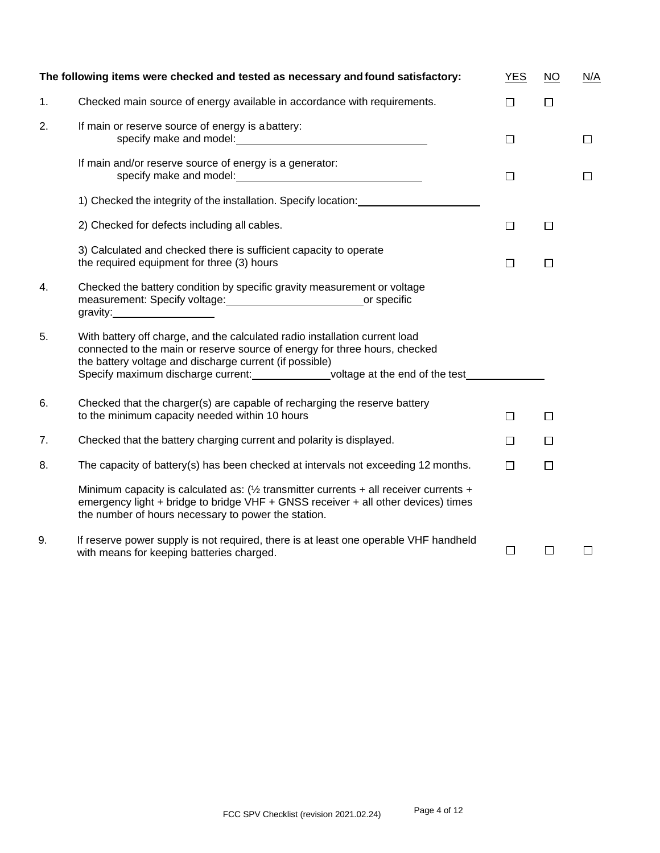| The following items were checked and tested as necessary and found satisfactory: |                                                                                                                                                                                                                                                                                           | <b>YES</b> | <b>NO</b> | N/A    |
|----------------------------------------------------------------------------------|-------------------------------------------------------------------------------------------------------------------------------------------------------------------------------------------------------------------------------------------------------------------------------------------|------------|-----------|--------|
| 1.                                                                               | Checked main source of energy available in accordance with requirements.                                                                                                                                                                                                                  | $\Box$     | $\Box$    |        |
| 2.                                                                               | If main or reserve source of energy is abattery:<br>specify make and model: Specify make and model:                                                                                                                                                                                       | $\Box$     |           | $\Box$ |
|                                                                                  | If main and/or reserve source of energy is a generator:                                                                                                                                                                                                                                   | $\Box$     |           | $\Box$ |
|                                                                                  | 1) Checked the integrity of the installation. Specify location: ________________                                                                                                                                                                                                          |            |           |        |
|                                                                                  | 2) Checked for defects including all cables.                                                                                                                                                                                                                                              | $\Box$     | $\Box$    |        |
|                                                                                  | 3) Calculated and checked there is sufficient capacity to operate<br>the required equipment for three (3) hours                                                                                                                                                                           | $\Box$     | $\Box$    |        |
| 4.                                                                               | Checked the battery condition by specific gravity measurement or voltage<br>measurement: Specify voltage: __________________________________or specific<br>gravity:______________________                                                                                                 |            |           |        |
| 5.                                                                               | With battery off charge, and the calculated radio installation current load<br>connected to the main or reserve source of energy for three hours, checked<br>the battery voltage and discharge current (if possible)<br>Specify maximum discharge current: voltage at the end of the test |            |           |        |
| 6.                                                                               | Checked that the charger(s) are capable of recharging the reserve battery<br>to the minimum capacity needed within 10 hours                                                                                                                                                               | $\Box$     | $\Box$    |        |
| 7.                                                                               | Checked that the battery charging current and polarity is displayed.                                                                                                                                                                                                                      | □          | □         |        |
| 8.                                                                               | The capacity of battery(s) has been checked at intervals not exceeding 12 months.                                                                                                                                                                                                         | $\Box$     | П         |        |
|                                                                                  | Minimum capacity is calculated as: $\frac{1}{2}$ transmitter currents + all receiver currents +<br>emergency light + bridge to bridge VHF + GNSS receiver + all other devices) times<br>the number of hours necessary to power the station.                                               |            |           |        |
| 9.                                                                               | If reserve power supply is not required, there is at least one operable VHF handheld<br>with means for keeping batteries charged.                                                                                                                                                         | $\Box$     | $\Box$    | $\Box$ |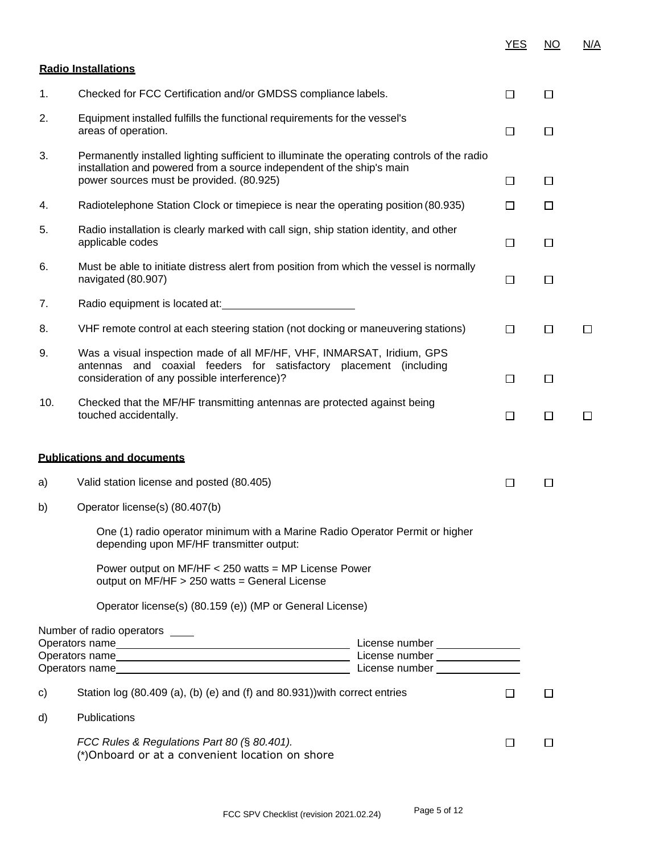YES NO N/A

|     | <b>Radio Installations</b>                                                                                                                                                                                       |        |        |        |
|-----|------------------------------------------------------------------------------------------------------------------------------------------------------------------------------------------------------------------|--------|--------|--------|
| 1.  | Checked for FCC Certification and/or GMDSS compliance labels.                                                                                                                                                    | $\Box$ | $\Box$ |        |
| 2.  | Equipment installed fulfills the functional requirements for the vessel's<br>areas of operation.                                                                                                                 | $\Box$ | $\Box$ |        |
| 3.  | Permanently installed lighting sufficient to illuminate the operating controls of the radio<br>installation and powered from a source independent of the ship's main<br>power sources must be provided. (80.925) | $\Box$ | $\Box$ |        |
| 4.  | Radiotelephone Station Clock or timepiece is near the operating position (80.935)                                                                                                                                | $\Box$ | □      |        |
| 5.  | Radio installation is clearly marked with call sign, ship station identity, and other<br>applicable codes                                                                                                        | $\Box$ | □      |        |
| 6.  | Must be able to initiate distress alert from position from which the vessel is normally<br>navigated (80.907)                                                                                                    | $\Box$ | $\Box$ |        |
| 7.  | Radio equipment is located at:                                                                                                                                                                                   |        |        |        |
| 8.  | VHF remote control at each steering station (not docking or maneuvering stations)                                                                                                                                | $\Box$ | $\Box$ | $\Box$ |
| 9.  | Was a visual inspection made of all MF/HF, VHF, INMARSAT, Iridium, GPS<br>antennas and coaxial feeders for satisfactory placement (including<br>consideration of any possible interference)?                     | $\Box$ | □      |        |
| 10. | Checked that the MF/HF transmitting antennas are protected against being<br>touched accidentally.                                                                                                                | $\Box$ | $\Box$ | $\Box$ |
|     | <b>Publications and documents</b>                                                                                                                                                                                |        |        |        |
| a)  | Valid station license and posted (80.405)                                                                                                                                                                        | □      | $\Box$ |        |
| b)  | Operator license(s) (80.407(b)                                                                                                                                                                                   |        |        |        |
|     | One (1) radio operator minimum with a Marine Radio Operator Permit or higher<br>depending upon MF/HF transmitter output:                                                                                         |        |        |        |
|     | Power output on MF/HF < 250 watts = MP License Power<br>output on MF/HF > 250 watts = General License                                                                                                            |        |        |        |
|     | Operator license(s) (80.159 (e)) (MP or General License)                                                                                                                                                         |        |        |        |
|     | Number of radio operators _____<br>License number _______________<br>Operators name                                                                                                                              |        |        |        |
| C)  | Station log (80.409 (a), (b) (e) and (f) and 80.931)) with correct entries                                                                                                                                       | П      | $\Box$ |        |
| d)  | Publications                                                                                                                                                                                                     |        |        |        |
|     | FCC Rules & Regulations Part 80 (§ 80.401).<br>(*) Onboard or at a convenient location on shore                                                                                                                  | □      | $\Box$ |        |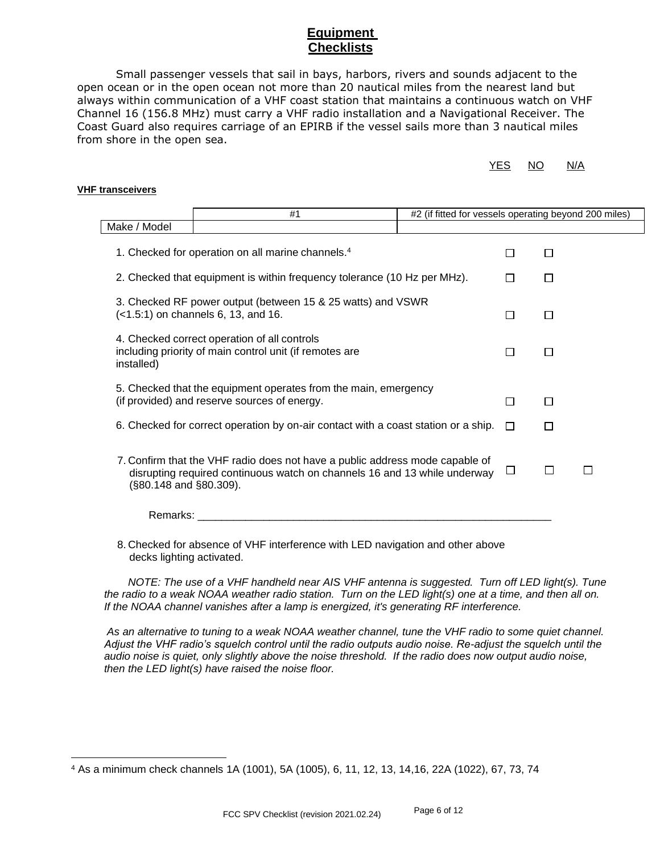### **Equipment Checklists**

Small passenger vessels that sail in bays, harbors, rivers and sounds adjacent to the open ocean or in the open ocean not more than 20 nautical miles from the nearest land but always within communication of a VHF coast station that maintains a continuous watch on VHF Channel 16 (156.8 MHz) must carry a VHF radio installation and a Navigational Receiver. The Coast Guard also requires carriage of an EPIRB if the vessel sails more than 3 nautical miles from shore in the open sea.

| YES | NΟ | N/A |
|-----|----|-----|
|     |    |     |

#### **VHF transceivers**

|                             | #1                                                                                                                                                        | #2 (if fitted for vessels operating beyond 200 miles) |        |   |  |
|-----------------------------|-----------------------------------------------------------------------------------------------------------------------------------------------------------|-------------------------------------------------------|--------|---|--|
| Make / Model                |                                                                                                                                                           |                                                       |        |   |  |
|                             | 1. Checked for operation on all marine channels. <sup>4</sup>                                                                                             |                                                       | □      | П |  |
|                             | 2. Checked that equipment is within frequency tolerance (10 Hz per MHz).                                                                                  |                                                       | П      | П |  |
|                             | 3. Checked RF power output (between 15 & 25 watts) and VSWR<br>$(-1.5:1)$ on channels 6, 13, and 16.                                                      |                                                       | □      | П |  |
| installed)                  | 4. Checked correct operation of all controls<br>including priority of main control unit (if remotes are                                                   |                                                       | $\Box$ | П |  |
|                             | 5. Checked that the equipment operates from the main, emergency<br>(if provided) and reserve sources of energy.                                           |                                                       | П      | П |  |
|                             | 6. Checked for correct operation by on-air contact with a coast station or a ship.                                                                        |                                                       | П      |   |  |
| $(S80.148$ and $S80.309$ ). | 7. Confirm that the VHF radio does not have a public address mode capable of<br>disrupting required continuous watch on channels 16 and 13 while underway |                                                       | ⊔      | П |  |
| Remarks:                    |                                                                                                                                                           |                                                       |        |   |  |

8. Checked for absence of VHF interference with LED navigation and other above decks lighting activated.

*NOTE: The use of a VHF handheld near AIS VHF antenna is suggested. Turn off LED light(s). Tune the radio to a weak NOAA weather radio station. Turn on the LED light(s) one at a time, and then all on. If the NOAA channel vanishes after a lamp is energized, it's generating RF interference.* 

*As an alternative to tuning to a weak NOAA weather channel, tune the VHF radio to some quiet channel. Adjust the VHF radio's squelch control until the radio outputs audio noise. Re-adjust the squelch until the audio noise is quiet, only slightly above the noise threshold. If the radio does now output audio noise, then the LED light(s) have raised the noise floor.*

<sup>4</sup> As a minimum check channels 1A (1001), 5A (1005), 6, 11, 12, 13, 14,16, 22A (1022), 67, 73, 74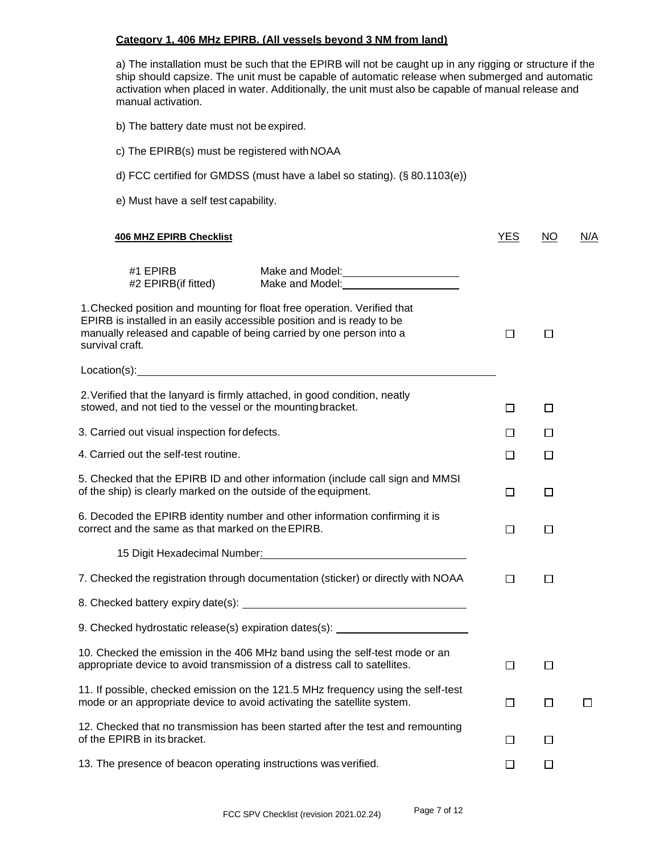#### **Category 1, 406 MHz EPIRB. (All vessels beyond 3 NM from land)**

a) The installation must be such that the EPIRB will not be caught up in any rigging or structure if the ship should capsize. The unit must be capable of automatic release when submerged and automatic activation when placed in water. Additionally, the unit must also be capable of manual release and manual activation.

b) The battery date must not be expired.

- c) The EPIRB(s) must be registered with NOAA
- d) FCC certified for GMDSS (must have a label so stating). (§ 80.1103(e))

e) Must have a self test capability.

| <b>406 MHZ EPIRB Checklist</b>                                                                                                                                                                                                               | YES    | NO.    | <u>N/A</u> |
|----------------------------------------------------------------------------------------------------------------------------------------------------------------------------------------------------------------------------------------------|--------|--------|------------|
| #1 EPIRB<br>Make and Model: _______________________<br>#2 EPIRB(if fitted)<br>Make and Model: New York 1999                                                                                                                                  |        |        |            |
| 1. Checked position and mounting for float free operation. Verified that<br>EPIRB is installed in an easily accessible position and is ready to be<br>manually released and capable of being carried by one person into a<br>survival craft. | □      | □      |            |
| Location(s): Note that the set of the set of the set of the set of the set of the set of the set of the set of the set of the set of the set of the set of the set of the set of the set of the set of the set of the set of t               |        |        |            |
| 2. Verified that the lanyard is firmly attached, in good condition, neatly<br>stowed, and not tied to the vessel or the mounting bracket.                                                                                                    | $\Box$ | □      |            |
| 3. Carried out visual inspection for defects.                                                                                                                                                                                                | □      | □      |            |
| 4. Carried out the self-test routine.                                                                                                                                                                                                        | П      | П      |            |
| 5. Checked that the EPIRB ID and other information (include call sign and MMSI<br>of the ship) is clearly marked on the outside of the equipment.                                                                                            | $\Box$ | $\Box$ |            |
| 6. Decoded the EPIRB identity number and other information confirming it is<br>correct and the same as that marked on the EPIRB.                                                                                                             | □      | □      |            |
| 15 Digit Hexadecimal Number: National Assembly Property of the Contract of the Contract of the Contract of the Contract of the Contract of the Contract of the Contract of the Contract of the Contract of the Contract of the               |        |        |            |
| 7. Checked the registration through documentation (sticker) or directly with NOAA                                                                                                                                                            | $\Box$ | $\Box$ |            |
|                                                                                                                                                                                                                                              |        |        |            |
| 9. Checked hydrostatic release(s) expiration dates(s): _________________________                                                                                                                                                             |        |        |            |
| 10. Checked the emission in the 406 MHz band using the self-test mode or an<br>appropriate device to avoid transmission of a distress call to satellites.                                                                                    | □      | $\Box$ |            |
| 11. If possible, checked emission on the 121.5 MHz frequency using the self-test<br>mode or an appropriate device to avoid activating the satellite system.                                                                                  | $\Box$ | $\Box$ | $\Box$     |
| 12. Checked that no transmission has been started after the test and remounting<br>of the EPIRB in its bracket.                                                                                                                              | □      | П      |            |
| 13. The presence of beacon operating instructions was verified.                                                                                                                                                                              | $\Box$ | П      |            |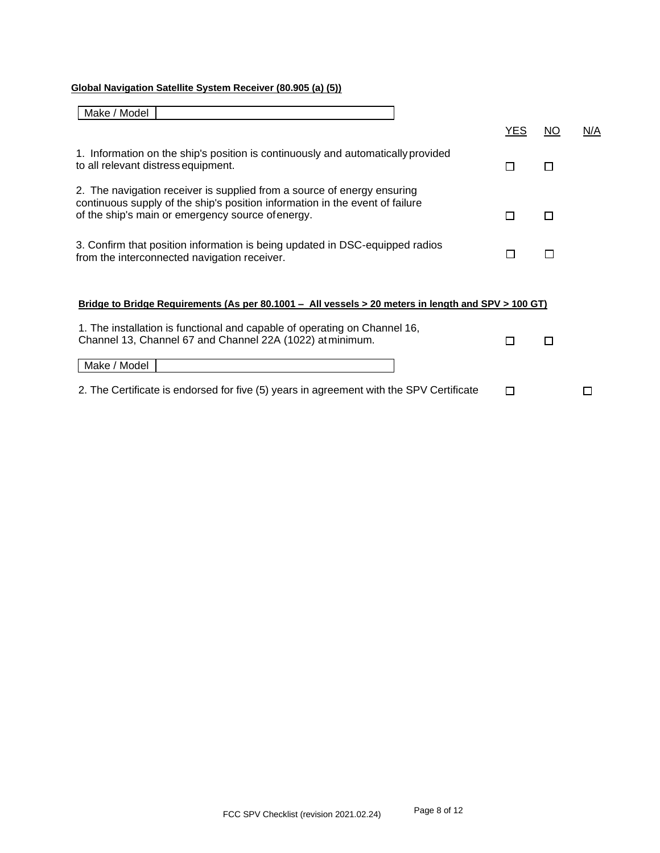## **Global Navigation Satellite System Receiver (80.905 (a) (5))**

| Make / Model                                                                                                                                                                                                 |            |           |     |
|--------------------------------------------------------------------------------------------------------------------------------------------------------------------------------------------------------------|------------|-----------|-----|
|                                                                                                                                                                                                              | <b>YES</b> | <u>NO</u> | N/A |
| 1. Information on the ship's position is continuously and automatically provided<br>to all relevant distress equipment.                                                                                      | П          |           |     |
| 2. The navigation receiver is supplied from a source of energy ensuring<br>continuous supply of the ship's position information in the event of failure<br>of the ship's main or emergency source of energy. | П          |           |     |
| 3. Confirm that position information is being updated in DSC-equipped radios<br>from the interconnected navigation receiver.                                                                                 |            |           |     |
| <u>Bridge to Bridge Requirements (As per 80.1001 – All vessels &gt; 20 meters in length and SPV &gt; 100 GT)</u>                                                                                             |            |           |     |
| 1. The installation is functional and capable of operating on Channel 16,<br>Channel 13, Channel 67 and Channel 22A (1022) at minimum.                                                                       | П          | П         |     |
| Make / Model                                                                                                                                                                                                 |            |           |     |
| 2. The Certificate is endorsed for five (5) years in agreement with the SPV Certificate                                                                                                                      | П          |           |     |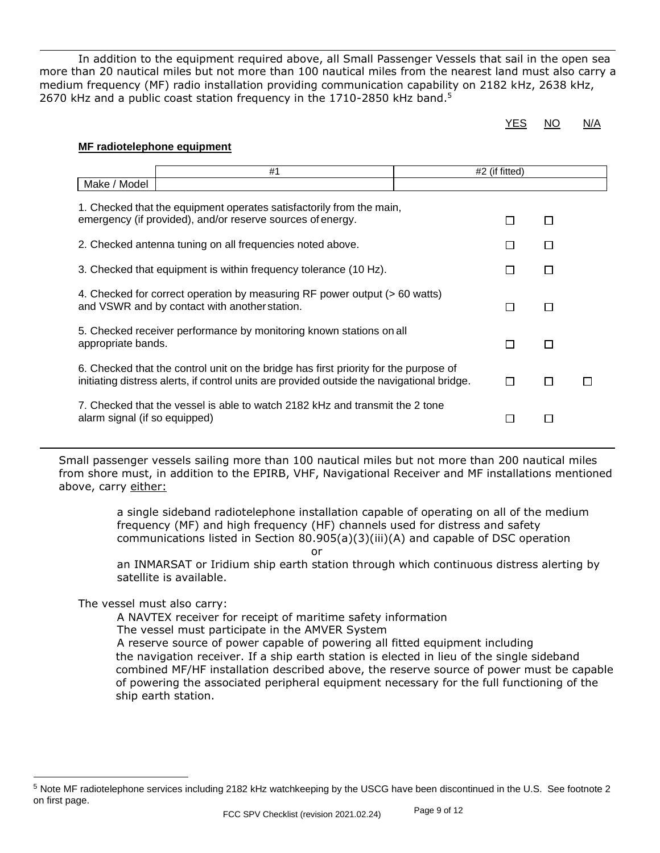In addition to the equipment required above, all Small Passenger Vessels that sail in the open sea more than 20 nautical miles but not more than 100 nautical miles from the nearest land must also carry a medium frequency (MF) radio installation providing communication capability on 2182 kHz, 2638 kHz, 2670 kHz and a public coast station frequency in the 1710-2850 kHz band.<sup>5</sup>

| YES | NΟ | N/A |
|-----|----|-----|
|     |    |     |

#### **MF radiotelephone equipment**

|                               | #1                                                                                                                                                                                 | #2 (if fitted) |              |  |
|-------------------------------|------------------------------------------------------------------------------------------------------------------------------------------------------------------------------------|----------------|--------------|--|
| Make / Model                  |                                                                                                                                                                                    |                |              |  |
|                               | 1. Checked that the equipment operates satisfactorily from the main,<br>emergency (if provided), and/or reserve sources of energy.                                                 |                | П            |  |
|                               | 2. Checked antenna tuning on all frequencies noted above.                                                                                                                          | ΙI             | П            |  |
|                               | 3. Checked that equipment is within frequency tolerance (10 Hz).                                                                                                                   |                | $\mathbf{L}$ |  |
|                               | 4. Checked for correct operation by measuring RF power output (> 60 watts)<br>and VSWR and by contact with another station.                                                        |                | П            |  |
| appropriate bands.            | 5. Checked receiver performance by monitoring known stations on all                                                                                                                |                | П            |  |
|                               | 6. Checked that the control unit on the bridge has first priority for the purpose of<br>initiating distress alerts, if control units are provided outside the navigational bridge. |                |              |  |
| alarm signal (if so equipped) | 7. Checked that the vessel is able to watch 2182 kHz and transmit the 2 tone                                                                                                       |                | П            |  |

Small passenger vessels sailing more than 100 nautical miles but not more than 200 nautical miles from shore must, in addition to the EPIRB, VHF, Navigational Receiver and MF installations mentioned above, carry either:

> a single sideband radiotelephone installation capable of operating on all of the medium frequency (MF) and high frequency (HF) channels used for distress and safety communications listed in Section 80.905(a)(3)(iii)(A) and capable of DSC operation

> > or

an INMARSAT or Iridium ship earth station through which continuous distress alerting by satellite is available.

The vessel must also carry:

A NAVTEX receiver for receipt of maritime safety information The vessel must participate in the AMVER System A reserve source of power capable of powering all fitted equipment including the navigation receiver. If a ship earth station is elected in lieu of the single sideband combined MF/HF installation described above, the reserve source of power must be capable of powering the associated peripheral equipment necessary for the full functioning of the ship earth station.

<sup>5</sup> Note MF radiotelephone services including 2182 kHz watchkeeping by the USCG have been discontinued in the U.S. See footnote 2 on first page.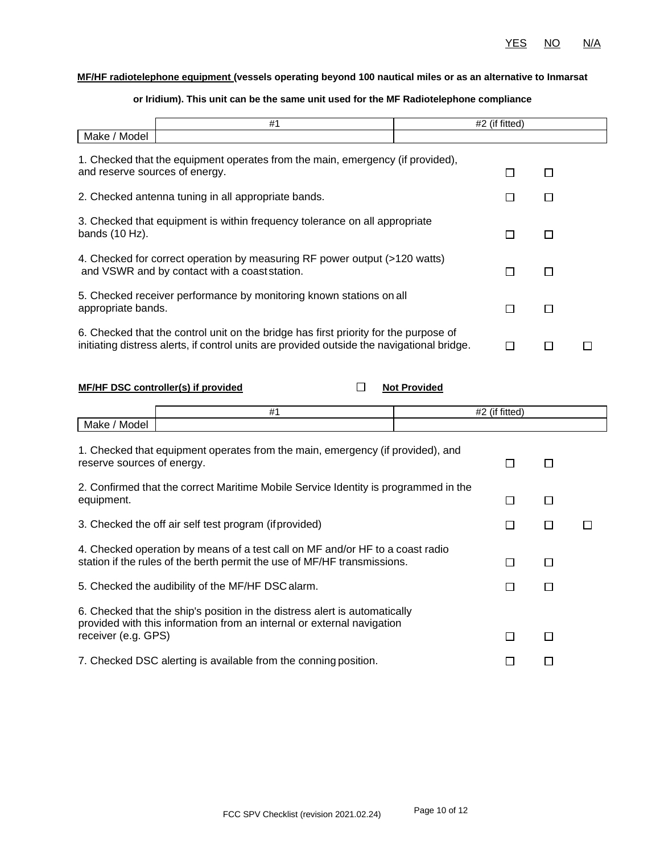#### **MF/HF radiotelephone equipment (vessels operating beyond 100 nautical miles or as an alternative to Inmarsat**

#### **or Iridium). This unit can be the same unit used for the MF Radiotelephone compliance**

|                                | #1                                                                                                                                                                                 | #2 (if fitted) |   |  |
|--------------------------------|------------------------------------------------------------------------------------------------------------------------------------------------------------------------------------|----------------|---|--|
| Make / Model                   |                                                                                                                                                                                    |                |   |  |
| and reserve sources of energy. | 1. Checked that the equipment operates from the main, emergency (if provided),                                                                                                     |                | П |  |
|                                | 2. Checked antenna tuning in all appropriate bands.                                                                                                                                |                | П |  |
| bands $(10 Hz)$ .              | 3. Checked that equipment is within frequency tolerance on all appropriate                                                                                                         |                | П |  |
|                                | 4. Checked for correct operation by measuring RF power output (>120 watts)<br>and VSWR and by contact with a coast station.                                                        |                | П |  |
| appropriate bands.             | 5. Checked receiver performance by monitoring known stations on all                                                                                                                |                | П |  |
|                                | 6. Checked that the control unit on the bridge has first priority for the purpose of<br>initiating distress alerts, if control units are provided outside the navigational bridge. |                |   |  |

#### **MF/HF DSC controller(s) if provided** Not Provided Not Provided

 $\blacksquare$ 

|          | <br><br>$^{\prime\prime}$ |
|----------|---------------------------|
| 117<br>. |                           |

| 1. Checked that equipment operates from the main, emergency (if provided), and<br>reserve sources of energy.                                                                |   |   |  |
|-----------------------------------------------------------------------------------------------------------------------------------------------------------------------------|---|---|--|
| 2. Confirmed that the correct Maritime Mobile Service Identity is programmed in the<br>equipment.                                                                           | П |   |  |
| 3. Checked the off air self test program (if provided)                                                                                                                      |   |   |  |
| 4. Checked operation by means of a test call on MF and/or HF to a coast radio<br>station if the rules of the berth permit the use of MF/HF transmissions.                   |   | П |  |
| 5. Checked the audibility of the MF/HF DSC alarm.                                                                                                                           |   |   |  |
| 6. Checked that the ship's position in the distress alert is automatically<br>provided with this information from an internal or external navigation<br>receiver (e.g. GPS) |   |   |  |
| 7. Checked DSC alerting is available from the conning position.                                                                                                             |   |   |  |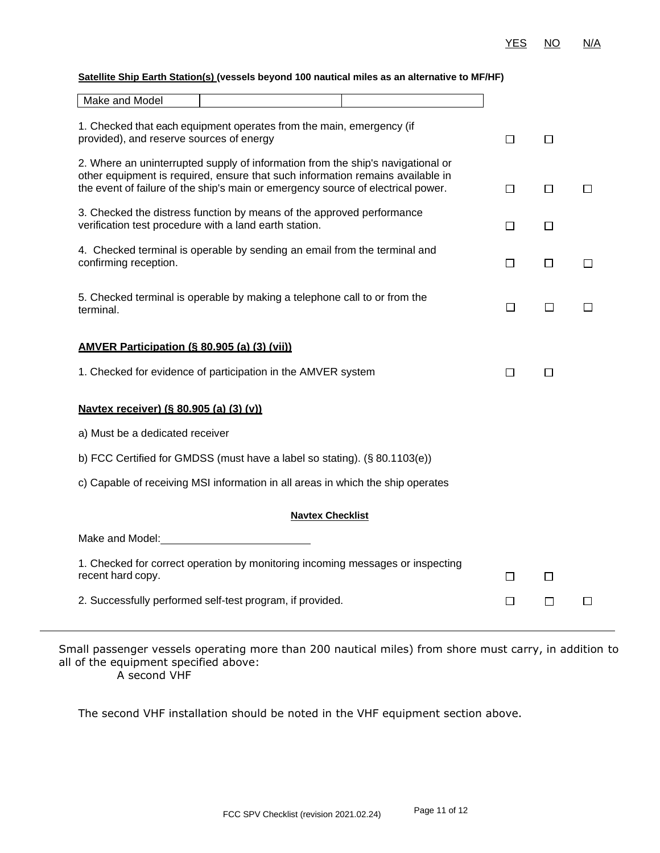|  | Satellite Ship Earth Station(s) (vessels beyond 100 nautical miles as an alternative to MF/HF) |  |
|--|------------------------------------------------------------------------------------------------|--|
|  |                                                                                                |  |

| Make and Model                                                                                                                                                                                                                                        |        |              |        |
|-------------------------------------------------------------------------------------------------------------------------------------------------------------------------------------------------------------------------------------------------------|--------|--------------|--------|
| 1. Checked that each equipment operates from the main, emergency (if<br>provided), and reserve sources of energy                                                                                                                                      | $\Box$ | $\Box$       |        |
| 2. Where an uninterrupted supply of information from the ship's navigational or<br>other equipment is required, ensure that such information remains available in<br>the event of failure of the ship's main or emergency source of electrical power. | □      | □            | □      |
| 3. Checked the distress function by means of the approved performance<br>verification test procedure with a land earth station.                                                                                                                       | □      | □            |        |
| 4. Checked terminal is operable by sending an email from the terminal and<br>confirming reception.                                                                                                                                                    | □      | $\Box$       | $\Box$ |
| 5. Checked terminal is operable by making a telephone call to or from the<br>terminal.                                                                                                                                                                | $\Box$ | $\Box$       | $\Box$ |
| AMVER Participation (§ 80.905 (a) (3) (vii))                                                                                                                                                                                                          |        |              |        |
| 1. Checked for evidence of participation in the AMVER system                                                                                                                                                                                          | П      | □            |        |
| Navtex receiver) (§ 80.905 (a) (3) (y))                                                                                                                                                                                                               |        |              |        |
| a) Must be a dedicated receiver                                                                                                                                                                                                                       |        |              |        |
| b) FCC Certified for GMDSS (must have a label so stating). (§ 80.1103(e))                                                                                                                                                                             |        |              |        |
| c) Capable of receiving MSI information in all areas in which the ship operates                                                                                                                                                                       |        |              |        |
| <b>Navtex Checklist</b>                                                                                                                                                                                                                               |        |              |        |
| Make and Model: New York 1999                                                                                                                                                                                                                         |        |              |        |
| 1. Checked for correct operation by monitoring incoming messages or inspecting<br>recent hard copy.                                                                                                                                                   | $\Box$ | П            |        |
| 2. Successfully performed self-test program, if provided.                                                                                                                                                                                             | ⊔      | $\mathsf{L}$ | $\Box$ |

Small passenger vessels operating more than 200 nautical miles) from shore must carry, in addition to all of the equipment specified above: A second VHF

The second VHF installation should be noted in the VHF equipment section above.